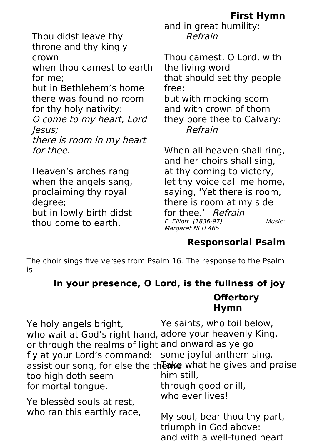**First Hymn**

Thou didst leave thy throne and thy kingly crown

when thou camest to earth for me;

but in Bethlehem's home there was found no room for thy holy nativity:

O come to my heart, Lord Jesus;

there is room in my heart for thee.

Heaven's arches rang when the angels sang, proclaiming thy royal degree; but in lowly birth didst thou come to earth

and in great humility: Refrain

Thou camest, O Lord, with the living word that should set thy people free; but with mocking scorn and with crown of thorn they bore thee to Calvary: Refrain

When all heaven shall ring, and her choirs shall sing, at thy coming to victory, let thy voice call me home, saying, 'Yet there is room, there is room at my side for thee.' Refrain E. Elliott (1836-97) Music: Margaret NEH 465

## **Responsorial Psalm**

The choir sings five verses from Psalm 16. The response to the Psalm is

## **In your presence, O Lord, is the fullness of joy Offertory Hymn**

Ye saints, who toil below, who wait at God's right hand, adore your heavenly King, or through the realms of light and onward as ye go some joyful anthem sing. assist our song, for else the the the what he gives and praise him still, through good or ill, who ever lives! Ye holy angels bright, fly at your Lord's command: too high doth seem for mortal tongue. Ye blessèd souls at rest,

My soul, bear thou thy part, triumph in God above: and with a well-tuned heart who ran this earthly race,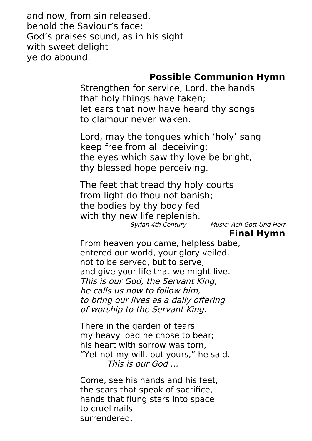and now, from sin released, behold the Saviour's face: God's praises sound, as in his sight with sweet delight ye do abound.

## **Possible Communion Hymn**

Strengthen for service, Lord, the hands that holy things have taken; let ears that now have heard thy songs to clamour never waken.

Lord, may the tongues which 'holy' sang keep free from all deceiving; the eyes which saw thy love be bright, thy blessed hope perceiving.

The feet that tread thy holy courts from light do thou not banish; the bodies by thy body fed with thy new life replenish.<br>*Syrian 4th Century* 

Music: Ach Gott Und Herr

 **Final Hymn**

From heaven you came, helpless babe, entered our world, your glory veiled, not to be served, but to serve, and give your life that we might live. This is our God, the Servant King, he calls us now to follow him, to bring our lives as a daily offering of worship to the Servant King.

There in the garden of tears my heavy load he chose to bear; his heart with sorrow was torn, "Yet not my will, but yours," he said. This is our God …

Come, see his hands and his feet, the scars that speak of sacrifice, hands that flung stars into space to cruel nails surrendered.